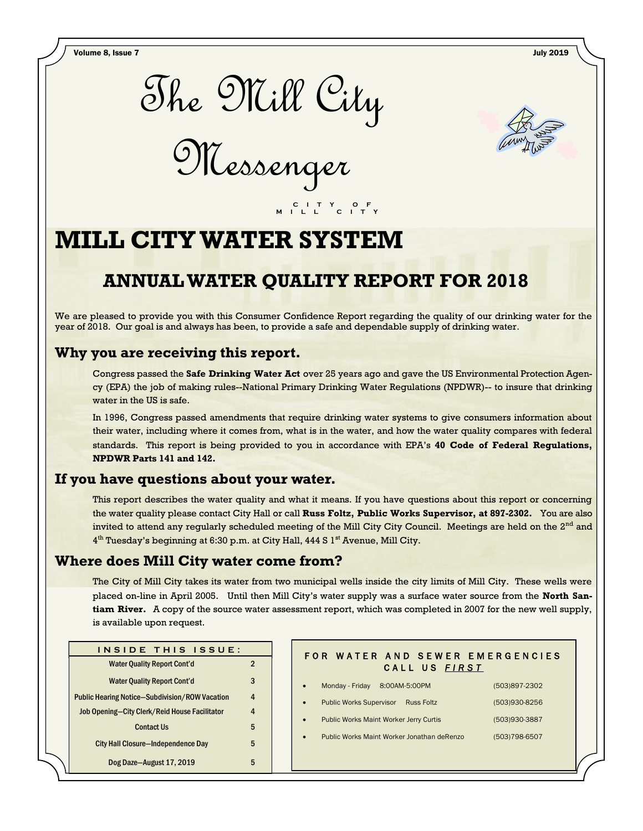Volume 8, Issue 7 July 2019



Messenger



# **MILL CITY WATER SYSTEM**

## **ANNUAL WATER QUALITY REPORT FOR 2018**

 **C I T Y O F M I L L C I T Y**

We are pleased to provide you with this Consumer Confidence Report regarding the quality of our drinking water for the year of 2018. Our goal is and always has been, to provide a safe and dependable supply of drinking water.

## **Why you are receiving this report.**

Congress passed the **Safe Drinking Water Act** over 25 years ago and gave the US Environmental Protection Agency (EPA) the job of making rules--National Primary Drinking Water Regulations (NPDWR)-- to insure that drinking water in the US is safe.

In 1996, Congress passed amendments that require drinking water systems to give consumers information about their water, including where it comes from, what is in the water, and how the water quality compares with federal standards. This report is being provided to you in accordance with EPA's **40 Code of Federal Regulations, NPDWR Parts 141 and 142.**

### **If you have questions about your water.**

This report describes the water quality and what it means. If you have questions about this report or concerning the water quality please contact City Hall or call **Russ Foltz, Public Works Supervisor, at 897-2302.** You are also invited to attend any regularly scheduled meeting of the Mill City City Council. Meetings are held on the 2<sup>nd</sup> and 4<sup>th</sup> Tuesday's beginning at 6:30 p.m. at City Hall, 444 S 1<sup>st</sup> Avenue, Mill City.

## **Where does Mill City water come from?**

The City of Mill City takes its water from two municipal wells inside the city limits of Mill City. These wells were placed on-line in April 2005. Until then Mill City's water supply was a surface water source from the **North Santiam River.** A copy of the source water assessment report, which was completed in 2007 for the new well supply, is available upon request.

| INSIDE THIS ISSUE:                                    |  |  |  |  |  |
|-------------------------------------------------------|--|--|--|--|--|
| <b>Water Quality Report Cont'd</b>                    |  |  |  |  |  |
| <b>Water Quality Report Cont'd</b>                    |  |  |  |  |  |
| <b>Public Hearing Notice-Subdivision/ROW Vacation</b> |  |  |  |  |  |
| Job Opening-City Clerk/Reid House Facilitator         |  |  |  |  |  |
| <b>Contact Us</b>                                     |  |  |  |  |  |
| <b>City Hall Closure-Independence Day</b>             |  |  |  |  |  |
| Dog Daze-August 17, 2019                              |  |  |  |  |  |

### FOR WATER AND SEWER EMERGENCIES CALL US FIRST

- Monday Friday 8:00AM-5:00PM (503)897-2302
	- Public Works Supervisor Russ Foltz (503)930-8256
- Public Works Maint Worker Jerry Curtis (503)930-3887
- Public Works Maint Worker Jonathan deRenzo (503)798-6507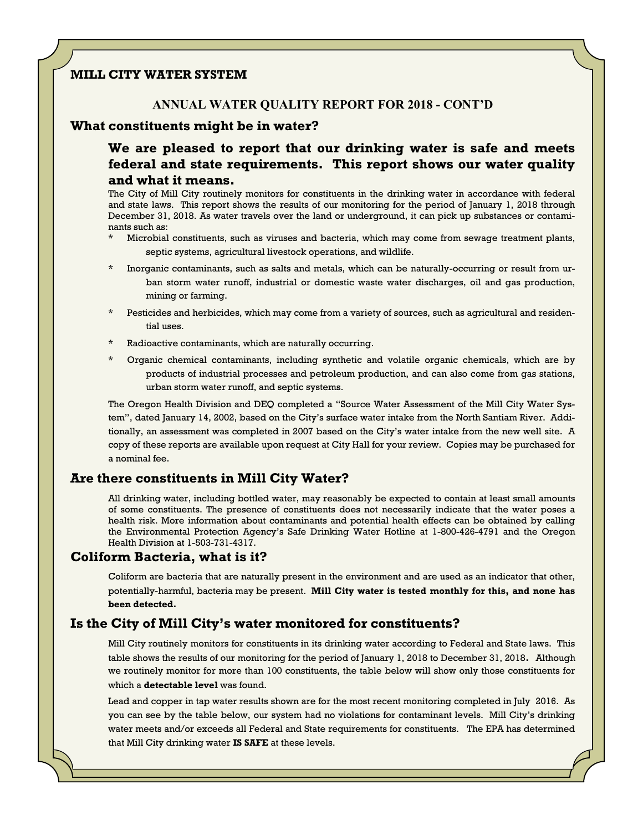#### **MILL CITY WATER SYSTEM**

#### **ANNUAL WATER QUALITY REPORT FOR 2018 - CONT'D**

**P a g e 2 T h e M i l l C i t y M e s s e n g e r**

#### **What constituents might be in water?**

**We are pleased to report that our drinking water is safe and meets federal and state requirements. This report shows our water quality and what it means.**

The City of Mill City routinely monitors for constituents in the drinking water in accordance with federal and state laws. This report shows the results of our monitoring for the period of January 1, 2018 through December 31, 2018. As water travels over the land or underground, it can pick up substances or contaminants such as:

- Microbial constituents, such as viruses and bacteria, which may come from sewage treatment plants, septic systems, agricultural livestock operations, and wildlife.
- \* Inorganic contaminants, such as salts and metals, which can be naturally-occurring or result from urban storm water runoff, industrial or domestic waste water discharges, oil and gas production, mining or farming.
- Pesticides and herbicides, which may come from a variety of sources, such as agricultural and residential uses.
- Radioactive contaminants, which are naturally occurring.
- Organic chemical contaminants, including synthetic and volatile organic chemicals, which are by products of industrial processes and petroleum production, and can also come from gas stations, urban storm water runoff, and septic systems.

The Oregon Health Division and DEQ completed a "Source Water Assessment of the Mill City Water System", dated January 14, 2002, based on the City's surface water intake from the North Santiam River. Additionally, an assessment was completed in 2007 based on the City's water intake from the new well site. A copy of these reports are available upon request at City Hall for your review. Copies may be purchased for a nominal fee.

#### **Are there constituents in Mill City Water?**

All drinking water, including bottled water, may reasonably be expected to contain at least small amounts of some constituents. The presence of constituents does not necessarily indicate that the water poses a health risk. More information about contaminants and potential health effects can be obtained by calling the Environmental Protection Agency's Safe Drinking Water Hotline at 1-800-426-4791 and the Oregon Health Division at 1-503-731-4317.

#### **Coliform Bacteria, what is it?**

Coliform are bacteria that are naturally present in the environment and are used as an indicator that other, potentially-harmful, bacteria may be present. **Mill City water is tested monthly for this, and none has been detected.**

#### **Is the City of Mill City's water monitored for constituents?**

Mill City routinely monitors for constituents in its drinking water according to Federal and State laws. This table shows the results of our monitoring for the period of January 1, 2018 to December 31, 2018**.** Although we routinely monitor for more than 100 constituents, the table below will show only those constituents for which a **detectable level** was found.

Lead and copper in tap water results shown are for the most recent monitoring completed in July 2016. As you can see by the table below, our system had no violations for contaminant levels. Mill City's drinking water meets and/or exceeds all Federal and State requirements for constituents. The EPA has determined that Mill City drinking water **IS SAFE** at these levels.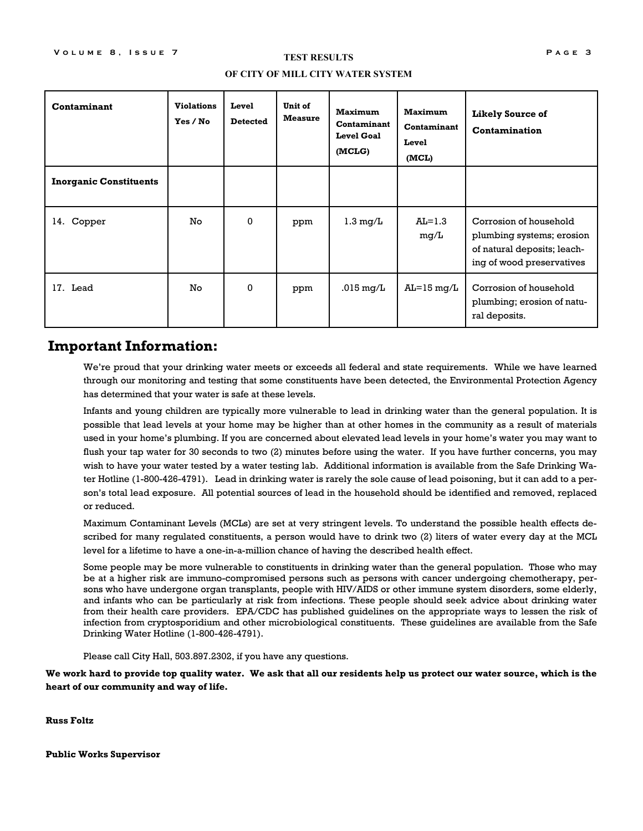#### **TEST RESULTS**

#### **OF CITY OF MILL CITY WATER SYSTEM**

| Contaminant                   | <b>Violations</b><br>Yes / No | Level<br><b>Detected</b> | Unit of<br><b>Measure</b> | <b>Maximum</b><br>Contaminant<br><b>Level Goal</b><br>(MCLG) | <b>Maximum</b><br>Contaminant<br>Level<br>(MCL) | Likely Source of<br>Contamination                                                                               |
|-------------------------------|-------------------------------|--------------------------|---------------------------|--------------------------------------------------------------|-------------------------------------------------|-----------------------------------------------------------------------------------------------------------------|
| <b>Inorganic Constituents</b> |                               |                          |                           |                                                              |                                                 |                                                                                                                 |
| 14. Copper                    | No.                           | $\Omega$                 | ppm                       | $1.3 \text{ mg/L}$                                           | $AL=1.3$<br>mq/L                                | Corrosion of household<br>plumbing systems; erosion<br>of natural deposits; leach-<br>ing of wood preservatives |
| 17. Lead                      | No                            | $\mathbf{0}$             | ppm                       | $.015 \text{ mg/L}$                                          | $\text{Al}=15 \text{ mg/L}$                     | Corrosion of household<br>plumbing; erosion of natu-<br>ral deposits.                                           |

#### **Important Information:**

We're proud that your drinking water meets or exceeds all federal and state requirements. While we have learned through our monitoring and testing that some constituents have been detected, the Environmental Protection Agency has determined that your water is safe at these levels.

Infants and young children are typically more vulnerable to lead in drinking water than the general population. It is possible that lead levels at your home may be higher than at other homes in the community as a result of materials used in your home's plumbing. If you are concerned about elevated lead levels in your home's water you may want to flush your tap water for 30 seconds to two (2) minutes before using the water. If you have further concerns, you may wish to have your water tested by a water testing lab. Additional information is available from the Safe Drinking Water Hotline (1-800-426-4791). Lead in drinking water is rarely the sole cause of lead poisoning, but it can add to a person's total lead exposure. All potential sources of lead in the household should be identified and removed, replaced or reduced.

Maximum Contaminant Levels (MCLs) are set at very stringent levels. To understand the possible health effects described for many regulated constituents, a person would have to drink two (2) liters of water every day at the MCL level for a lifetime to have a one-in-a-million chance of having the described health effect.

Some people may be more vulnerable to constituents in drinking water than the general population. Those who may be at a higher risk are immuno-compromised persons such as persons with cancer undergoing chemotherapy, persons who have undergone organ transplants, people with HIV/AIDS or other immune system disorders, some elderly, and infants who can be particularly at risk from infections. These people should seek advice about drinking water from their health care providers. EPA/CDC has published guidelines on the appropriate ways to lessen the risk of infection from cryptosporidium and other microbiological constituents. These guidelines are available from the Safe Drinking Water Hotline (1-800-426-4791).

Please call City Hall, 503.897.2302, if you have any questions.

**We work hard to provide top quality water. We ask that all our residents help us protect our water source, which is the heart of our community and way of life.**

**Russ Foltz**

**Public Works Supervisor**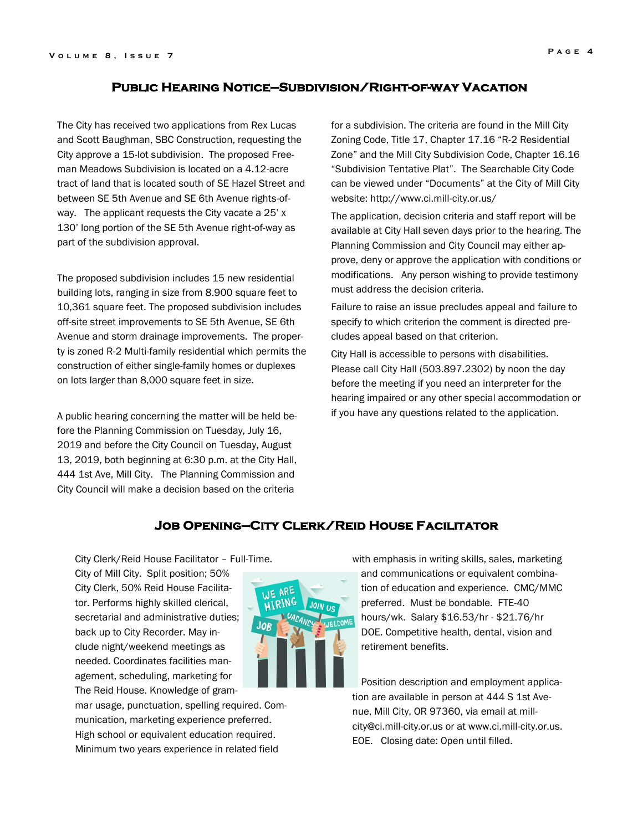#### **Public Hearing Notice—Subdivision/Right-of-way Vacation**

The City has received two applications from Rex Lucas and Scott Baughman, SBC Construction, requesting the City approve a 15-lot subdivision. The proposed Freeman Meadows Subdivision is located on a 4.12-acre tract of land that is located south of SE Hazel Street and between SE 5th Avenue and SE 6th Avenue rights-ofway. The applicant requests the City vacate a 25' x 130' long portion of the SE 5th Avenue right-of-way as part of the subdivision approval.

The proposed subdivision includes 15 new residential building lots, ranging in size from 8.900 square feet to 10,361 square feet. The proposed subdivision includes off-site street improvements to SE 5th Avenue, SE 6th Avenue and storm drainage improvements. The property is zoned R-2 Multi-family residential which permits the construction of either single-family homes or duplexes on lots larger than 8,000 square feet in size.

A public hearing concerning the matter will be held before the Planning Commission on Tuesday, July 16, 2019 and before the City Council on Tuesday, August 13, 2019, both beginning at 6:30 p.m. at the City Hall, 444 1st Ave, Mill City. The Planning Commission and City Council will make a decision based on the criteria

for a subdivision. The criteria are found in the Mill City Zoning Code, Title 17, Chapter 17.16 "R-2 Residential Zone" and the Mill City Subdivision Code, Chapter 16.16 "Subdivision Tentative Plat". The Searchable City Code can be viewed under "Documents" at the City of Mill City website: http://www.ci.mill-city.or.us/

The application, decision criteria and staff report will be available at City Hall seven days prior to the hearing. The Planning Commission and City Council may either approve, deny or approve the application with conditions or modifications. Any person wishing to provide testimony must address the decision criteria.

Failure to raise an issue precludes appeal and failure to specify to which criterion the comment is directed precludes appeal based on that criterion.

City Hall is accessible to persons with disabilities. Please call City Hall (503.897.2302) by noon the day before the meeting if you need an interpreter for the hearing impaired or any other special accommodation or if you have any questions related to the application.

#### **Job Opening—City Clerk/Reid House Facilitator**

City Clerk/Reid House Facilitator – Full-Time.

City of Mill City. Split position; 50% City Clerk, 50% Reid House Facilitator. Performs highly skilled clerical, secretarial and administrative duties; back up to City Recorder. May include night/weekend meetings as needed. Coordinates facilities management, scheduling, marketing for The Reid House. Knowledge of gram-

mar usage, punctuation, spelling required. Communication, marketing experience preferred. High school or equivalent education required. Minimum two years experience in related field

with emphasis in writing skills, sales, marketing and communications or equivalent combination of education and experience. CMC/MMC preferred. Must be bondable. FTE-40 hours/wk. Salary \$16.53/hr - \$21.76/hr DOE. Competitive health, dental, vision and retirement benefits.

Position description and employment application are available in person at 444 S 1st Avenue, Mill City, OR 97360, via email at millcity@ci.mill-city.or.us or at www.ci.mill-city.or.us. EOE. Closing date: Open until filled.